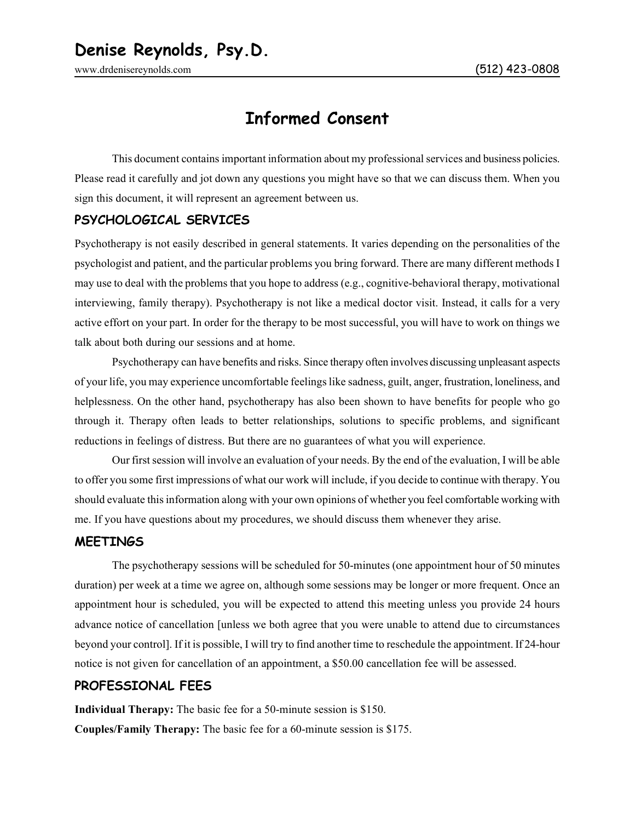[www.drdenisereynolds.com](http://www.drdenisereynolds.com/) (512) 423-0808

# **Informed Consent**

This document contains important information about my professional services and business policies. Please read it carefully and jot down any questions you might have so that we can discuss them. When you sign this document, it will represent an agreement between us.

# **PSYCHOLOGICAL SERVICES**

Psychotherapy is not easily described in general statements. It varies depending on the personalities of the psychologist and patient, and the particular problems you bring forward. There are many different methods I may use to deal with the problems that you hope to address (e.g., cognitive-behavioral therapy, motivational interviewing, family therapy). Psychotherapy is not like a medical doctor visit. Instead, it calls for a very active effort on your part. In order for the therapy to be most successful, you will have to work on things we talk about both during our sessions and at home.

Psychotherapy can have benefits and risks. Since therapy often involves discussing unpleasant aspects of your life, you may experience uncomfortable feelings like sadness, guilt, anger, frustration, loneliness, and helplessness. On the other hand, psychotherapy has also been shown to have benefits for people who go through it. Therapy often leads to better relationships, solutions to specific problems, and significant reductions in feelings of distress. But there are no guarantees of what you will experience.

Our first session will involve an evaluation of your needs. By the end of the evaluation, I will be able to offer you some first impressions of what our work will include, if you decide to continue with therapy. You should evaluate this information along with your own opinions of whether you feel comfortable working with me. If you have questions about my procedures, we should discuss them whenever they arise.

## **MEETINGS**

The psychotherapy sessions will be scheduled for 50-minutes (one appointment hour of 50 minutes duration) per week at a time we agree on, although some sessions may be longer or more frequent. Once an appointment hour is scheduled, you will be expected to attend this meeting unless you provide 24 hours advance notice of cancellation [unless we both agree that you were unable to attend due to circumstances beyond your control]. If it is possible, I will try to find another time to reschedule the appointment. If 24-hour notice is not given for cancellation of an appointment, a \$50.00 cancellation fee will be assessed.

# **PROFESSIONAL FEES**

**Individual Therapy:** The basic fee for a 50-minute session is \$150. **Couples/Family Therapy:** The basic fee for a 60-minute session is \$175.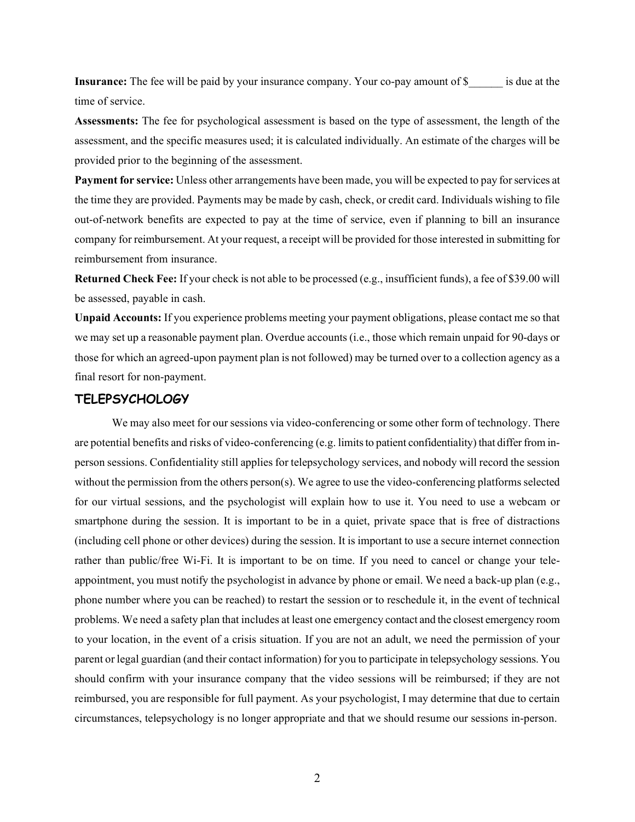**Insurance:** The fee will be paid by your insurance company. Your co-pay amount of \$ sigma is due at the time of service.

**Assessments:** The fee for psychological assessment is based on the type of assessment, the length of the assessment, and the specific measures used; it is calculated individually. An estimate of the charges will be provided prior to the beginning of the assessment.

**Payment for service:** Unless other arrangements have been made, you will be expected to pay for services at the time they are provided. Payments may be made by cash, check, or credit card. Individuals wishing to file out-of-network benefits are expected to pay at the time of service, even if planning to bill an insurance company for reimbursement. At your request, a receipt will be provided for those interested in submitting for reimbursement from insurance.

**Returned Check Fee:** If your check is not able to be processed (e.g., insufficient funds), a fee of \$39.00 will be assessed, payable in cash.

**Unpaid Accounts:** If you experience problems meeting your payment obligations, please contact me so that we may set up a reasonable payment plan. Overdue accounts (i.e., those which remain unpaid for 90-days or those for which an agreed-upon payment plan is not followed) may be turned over to a collection agency as a final resort for non-payment.

## **TELEPSYCHOLOGY**

We may also meet for our sessions via video-conferencing or some other form of technology. There are potential benefits and risks of video-conferencing (e.g. limits to patient confidentiality) that differ from inperson sessions. Confidentiality still applies for telepsychology services, and nobody will record the session without the permission from the others person(s). We agree to use the video-conferencing platforms selected for our virtual sessions, and the psychologist will explain how to use it. You need to use a webcam or smartphone during the session. It is important to be in a quiet, private space that is free of distractions (including cell phone or other devices) during the session. It is important to use a secure internet connection rather than public/free Wi-Fi. It is important to be on time. If you need to cancel or change your teleappointment, you must notify the psychologist in advance by phone or email. We need a back-up plan (e.g., phone number where you can be reached) to restart the session or to reschedule it, in the event of technical problems. We need a safety plan that includes at least one emergency contact and the closest emergency room to your location, in the event of a crisis situation. If you are not an adult, we need the permission of your parent or legal guardian (and their contact information) for you to participate in telepsychology sessions. You should confirm with your insurance company that the video sessions will be reimbursed; if they are not reimbursed, you are responsible for full payment. As your psychologist, I may determine that due to certain circumstances, telepsychology is no longer appropriate and that we should resume our sessions in-person.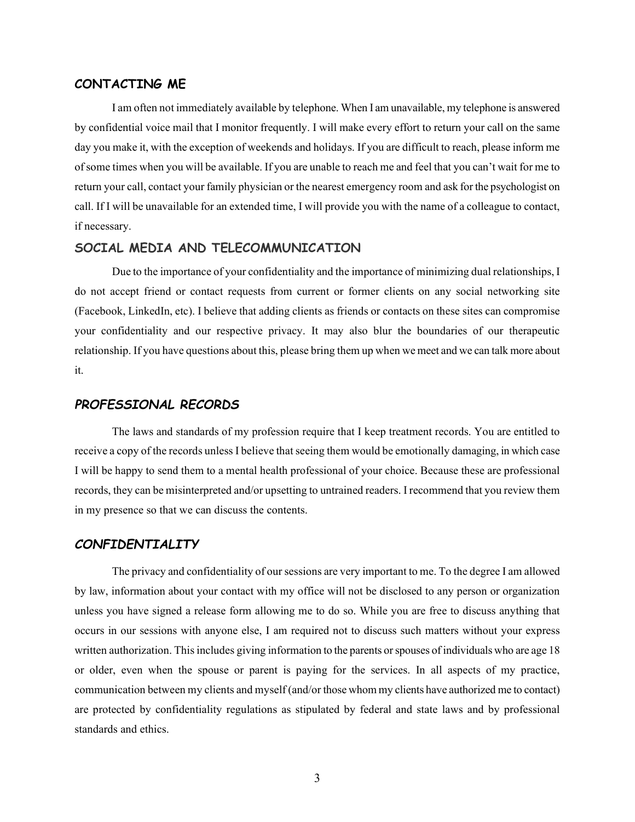## **CONTACTING ME**

I am often not immediately available by telephone. When I am unavailable, my telephone is answered by confidential voice mail that I monitor frequently. I will make every effort to return your call on the same day you make it, with the exception of weekends and holidays. If you are difficult to reach, please inform me of some times when you will be available. If you are unable to reach me and feel that you can't wait for me to return your call, contact your family physician or the nearest emergency room and ask for the psychologist on call. If I will be unavailable for an extended time, I will provide you with the name of a colleague to contact, if necessary.

#### **SOCIAL MEDIA AND TELECOMMUNICATION**

Due to the importance of your confidentiality and the importance of minimizing dual relationships, I do not accept friend or contact requests from current or former clients on any social networking site (Facebook, LinkedIn, etc). I believe that adding clients as friends or contacts on these sites can compromise your confidentiality and our respective privacy. It may also blur the boundaries of our therapeutic relationship. If you have questions about this, please bring them up when we meet and we can talk more about it.

#### *PROFESSIONAL RECORDS*

The laws and standards of my profession require that I keep treatment records. You are entitled to receive a copy of the records unless I believe that seeing them would be emotionally damaging, in which case I will be happy to send them to a mental health professional of your choice. Because these are professional records, they can be misinterpreted and/or upsetting to untrained readers. I recommend that you review them in my presence so that we can discuss the contents.

## *CONFIDENTIALITY*

The privacy and confidentiality of our sessions are very important to me. To the degree I am allowed by law, information about your contact with my office will not be disclosed to any person or organization unless you have signed a release form allowing me to do so. While you are free to discuss anything that occurs in our sessions with anyone else, I am required not to discuss such matters without your express written authorization. This includes giving information to the parents or spouses of individuals who are age 18 or older, even when the spouse or parent is paying for the services. In all aspects of my practice, communication between my clients and myself (and/or those whom my clients have authorized me to contact) are protected by confidentiality regulations as stipulated by federal and state laws and by professional standards and ethics.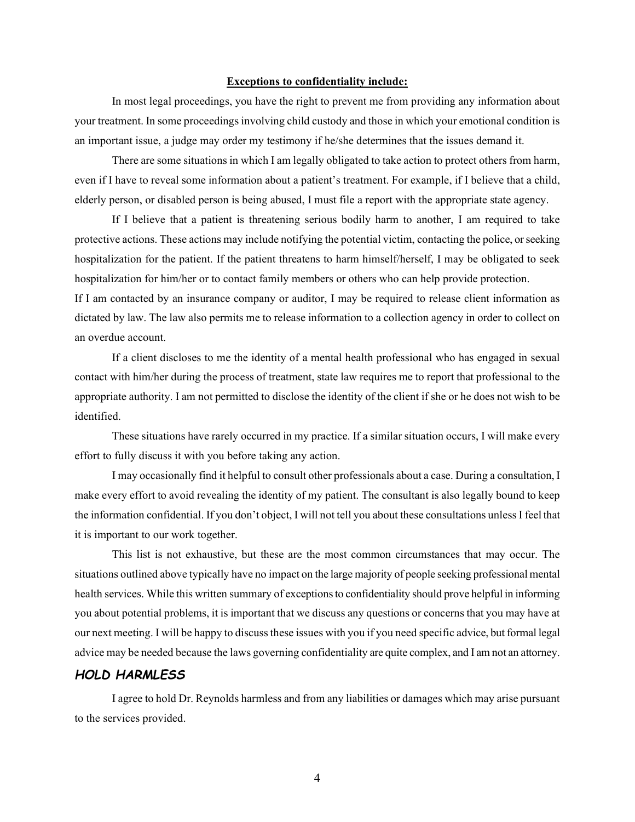#### **Exceptions to confidentiality include:**

In most legal proceedings, you have the right to prevent me from providing any information about your treatment. In some proceedings involving child custody and those in which your emotional condition is an important issue, a judge may order my testimony if he/she determines that the issues demand it.

There are some situations in which I am legally obligated to take action to protect others from harm, even if I have to reveal some information about a patient's treatment. For example, if I believe that a child, elderly person, or disabled person is being abused, I must file a report with the appropriate state agency.

If I believe that a patient is threatening serious bodily harm to another, I am required to take protective actions. These actions may include notifying the potential victim, contacting the police, or seeking hospitalization for the patient. If the patient threatens to harm himself/herself, I may be obligated to seek hospitalization for him/her or to contact family members or others who can help provide protection.

If I am contacted by an insurance company or auditor, I may be required to release client information as dictated by law. The law also permits me to release information to a collection agency in order to collect on an overdue account.

If a client discloses to me the identity of a mental health professional who has engaged in sexual contact with him/her during the process of treatment, state law requires me to report that professional to the appropriate authority. I am not permitted to disclose the identity of the client if she or he does not wish to be identified.

These situations have rarely occurred in my practice. If a similar situation occurs, I will make every effort to fully discuss it with you before taking any action.

I may occasionally find it helpful to consult other professionals about a case. During a consultation, I make every effort to avoid revealing the identity of my patient. The consultant is also legally bound to keep the information confidential. If you don't object, I will not tell you about these consultations unless I feel that it is important to our work together.

This list is not exhaustive, but these are the most common circumstances that may occur. The situations outlined above typically have no impact on the large majority of people seeking professional mental health services. While this written summary of exceptions to confidentiality should prove helpful in informing you about potential problems, it is important that we discuss any questions or concerns that you may have at our next meeting. I will be happy to discuss these issues with you if you need specific advice, but formal legal advice may be needed because the laws governing confidentiality are quite complex, and I am not an attorney.

## *HOLD HARMLESS*

I agree to hold Dr. Reynolds harmless and from any liabilities or damages which may arise pursuant to the services provided.